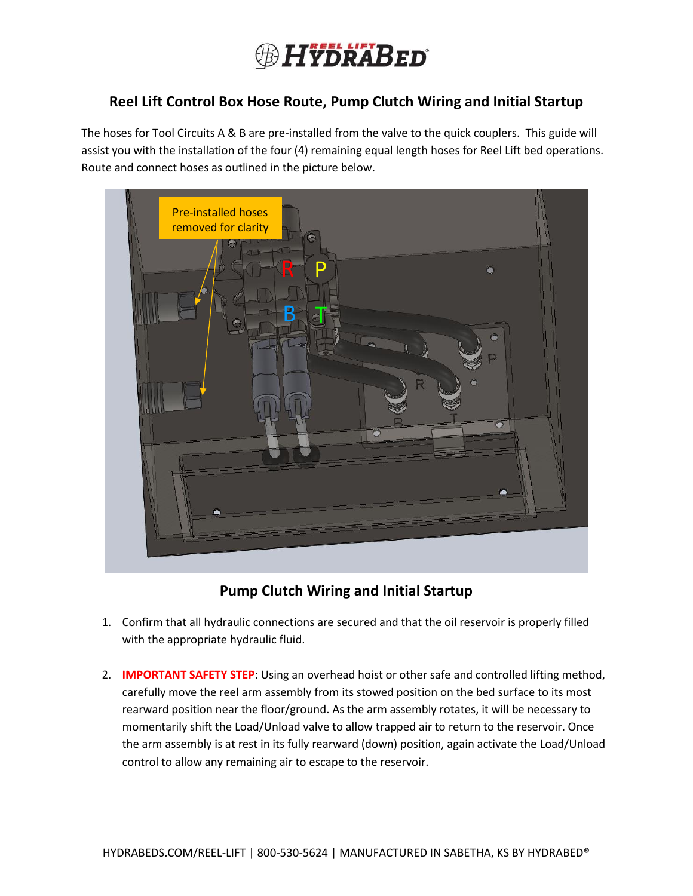

## **Reel Lift Control Box Hose Route, Pump Clutch Wiring and Initial Startup**

The hoses for Tool Circuits A & B are pre-installed from the valve to the quick couplers. This guide will assist you with the installation of the four (4) remaining equal length hoses for Reel Lift bed operations. Route and connect hoses as outlined in the picture below.

| Pre-installed hoses<br>removed for clarity<br>Ino |           |
|---------------------------------------------------|-----------|
| D<br>B                                            | $\bullet$ |
| B                                                 | Ô         |
|                                                   | n         |
|                                                   | R         |
|                                                   |           |
|                                                   | O         |
|                                                   |           |

**Pump Clutch Wiring and Initial Startup**

- 1. Confirm that all hydraulic connections are secured and that the oil reservoir is properly filled with the appropriate hydraulic fluid.
- 2. **IMPORTANT SAFETY STEP**: Using an overhead hoist or other safe and controlled lifting method, carefully move the reel arm assembly from its stowed position on the bed surface to its most rearward position near the floor/ground. As the arm assembly rotates, it will be necessary to momentarily shift the Load/Unload valve to allow trapped air to return to the reservoir. Once the arm assembly is at rest in its fully rearward (down) position, again activate the Load/Unload control to allow any remaining air to escape to the reservoir.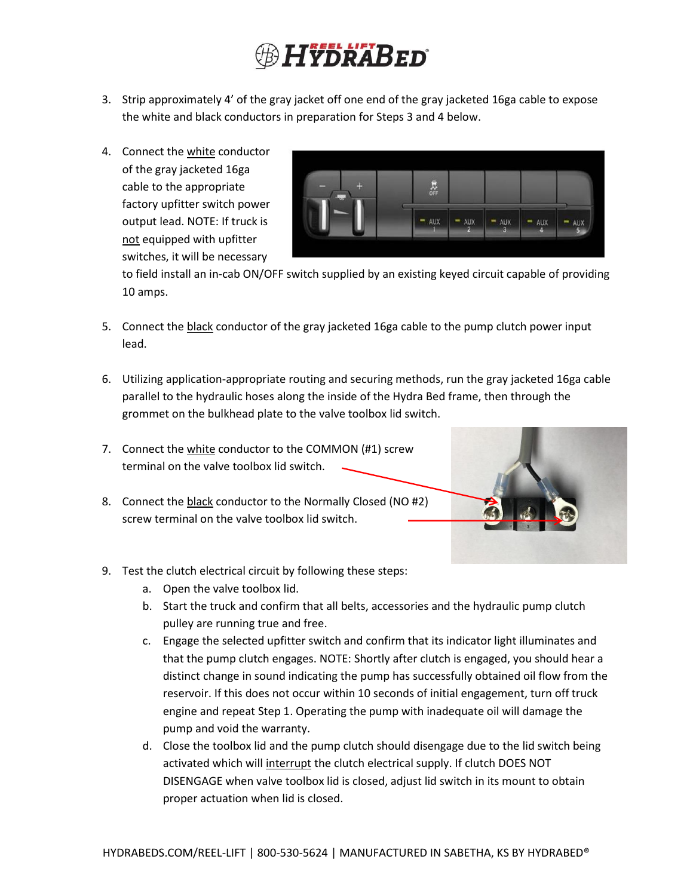## **HYDRABED**

- 3. Strip approximately 4' of the gray jacket off one end of the gray jacketed 16ga cable to expose the white and black conductors in preparation for Steps 3 and 4 below.
- 4. Connect the white conductor of the gray jacketed 16ga cable to the appropriate factory upfitter switch power output lead. NOTE: If truck is not equipped with upfitter switches, it will be necessary



to field install an in-cab ON/OFF switch supplied by an existing keyed circuit capable of providing 10 amps.

- 5. Connect the black conductor of the gray jacketed 16ga cable to the pump clutch power input lead.
- 6. Utilizing application-appropriate routing and securing methods, run the gray jacketed 16ga cable parallel to the hydraulic hoses along the inside of the Hydra Bed frame, then through the grommet on the bulkhead plate to the valve toolbox lid switch.
- 7. Connect the white conductor to the COMMON (#1) screw terminal on the valve toolbox lid switch.
- 8. Connect the black conductor to the Normally Closed (NO #2) screw terminal on the valve toolbox lid switch.



- 9. Test the clutch electrical circuit by following these steps:
	- a. Open the valve toolbox lid.
	- b. Start the truck and confirm that all belts, accessories and the hydraulic pump clutch pulley are running true and free.
	- c. Engage the selected upfitter switch and confirm that its indicator light illuminates and that the pump clutch engages. NOTE: Shortly after clutch is engaged, you should hear a distinct change in sound indicating the pump has successfully obtained oil flow from the reservoir. If this does not occur within 10 seconds of initial engagement, turn off truck engine and repeat Step 1. Operating the pump with inadequate oil will damage the pump and void the warranty.
	- d. Close the toolbox lid and the pump clutch should disengage due to the lid switch being activated which will interrupt the clutch electrical supply. If clutch DOES NOT DISENGAGE when valve toolbox lid is closed, adjust lid switch in its mount to obtain proper actuation when lid is closed.